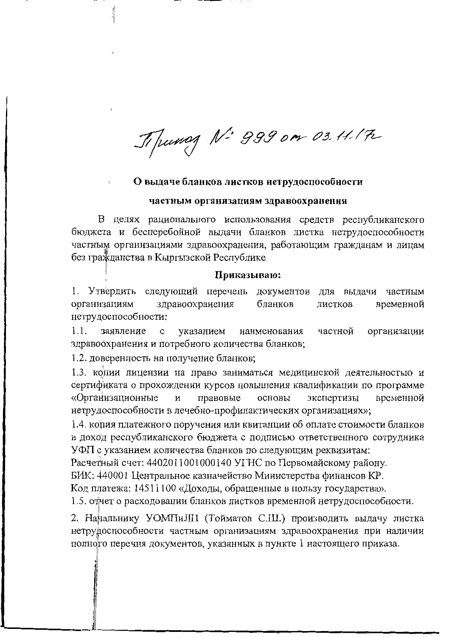Tipunog N: 999 om 03.11.17

## О выдаче бланков листков нетрудоспособности

## частным организациям здравоохранения

В целях рационального использования средств республиканского бюджета и бесперебойной выдачи бланков листка нетрудоспособности частным организациями здравоохранения, работающим гражданам и лицам без гражданства в Кыргызской Республике

## Приказываю:

1. Утвердить следующий перечень документов для выдачи частным организациям здравоохранения бланков листков временной нетрудоспособности:

 $1.1.$ заявление  $\mathbf{c}$ указанием наименования частной организации здравоохранения и потребного количества бланков;

1.2. доверенность на получение бланков;

1.3. колии лицензии на право заниматься медицинской деятельностью и сертификата о прохождении курсов повышения квалификации по программе «Организационные И правовые основы экспертизы временной нетрудоспособности в лечебно-профилактических организациях»;

1.4. копия платежного поручения или квитанции об оплате стоимости бланков в доход республиканского бюджета с подписью ответственного сотрудника УФП с указанием количества бланков по следующим реквизитам:

Расчетный счет: 4402011001000140 УГНС по Первомайскому району.

БИК: 440001 Центральное казначейство Министерства финансов КР.

Код платежа: 14511100 «Доходы, обращенные в пользу государства».

1.5. отчет о расходовании бланков листков временной нетрудоспособности.

2. Нанальнику УОМПиЛП (Тойматов С.Ш.) производить выдачу листка нетрудоспособности частным организациям здравоохранения при наличии полного перечня документов, указанных в пункте 1 настоящего приказа.